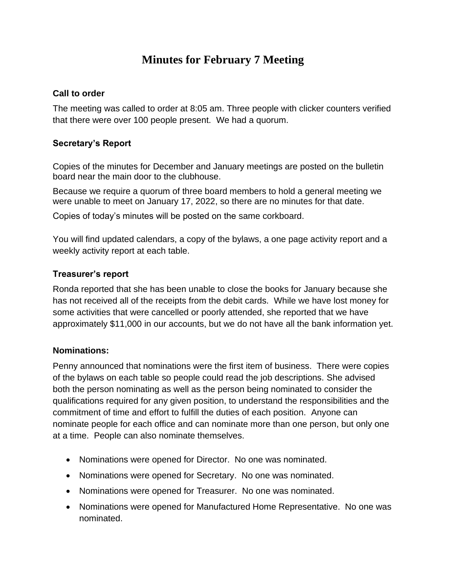# **Minutes for February 7 Meeting**

#### **Call to order**

The meeting was called to order at 8:05 am. Three people with clicker counters verified that there were over 100 people present. We had a quorum.

### **Secretary's Report**

Copies of the minutes for December and January meetings are posted on the bulletin board near the main door to the clubhouse.

Because we require a quorum of three board members to hold a general meeting we were unable to meet on January 17, 2022, so there are no minutes for that date.

Copies of today's minutes will be posted on the same corkboard.

You will find updated calendars, a copy of the bylaws, a one page activity report and a weekly activity report at each table.

#### **Treasurer's report**

Ronda reported that she has been unable to close the books for January because she has not received all of the receipts from the debit cards. While we have lost money for some activities that were cancelled or poorly attended, she reported that we have approximately \$11,000 in our accounts, but we do not have all the bank information yet.

#### **Nominations:**

Penny announced that nominations were the first item of business. There were copies of the bylaws on each table so people could read the job descriptions. She advised both the person nominating as well as the person being nominated to consider the qualifications required for any given position, to understand the responsibilities and the commitment of time and effort to fulfill the duties of each position. Anyone can nominate people for each office and can nominate more than one person, but only one at a time. People can also nominate themselves.

- Nominations were opened for Director. No one was nominated.
- Nominations were opened for Secretary. No one was nominated.
- Nominations were opened for Treasurer. No one was nominated.
- Nominations were opened for Manufactured Home Representative. No one was nominated.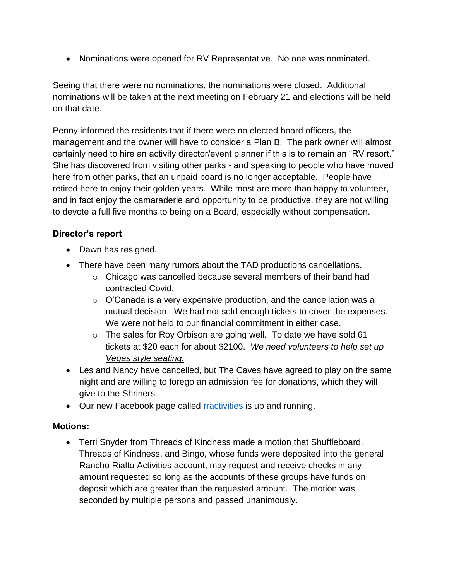• Nominations were opened for RV Representative. No one was nominated.

Seeing that there were no nominations, the nominations were closed. Additional nominations will be taken at the next meeting on February 21 and elections will be held on that date.

Penny informed the residents that if there were no elected board officers, the management and the owner will have to consider a Plan B. The park owner will almost certainly need to hire an activity director/event planner if this is to remain an "RV resort." She has discovered from visiting other parks - and speaking to people who have moved here from other parks, that an unpaid board is no longer acceptable. People have retired here to enjoy their golden years. While most are more than happy to volunteer, and in fact enjoy the camaraderie and opportunity to be productive, they are not willing to devote a full five months to being on a Board, especially without compensation.

## **Director's report**

- Dawn has resigned.
- There have been many rumors about the TAD productions cancellations.
	- $\circ$  Chicago was cancelled because several members of their band had contracted Covid.
	- $\circ$  O'Canada is a very expensive production, and the cancellation was a mutual decision. We had not sold enough tickets to cover the expenses. We were not held to our financial commitment in either case.
	- $\circ$  The sales for Roy Orbison are going well. To date we have sold 61 tickets at \$20 each for about \$2100. *We need volunteers to help set up Vegas style seating.*
- Les and Nancy have cancelled, but The Caves have agreed to play on the same night and are willing to forego an admission fee for donations, which they will give to the Shriners.
- Our new Facebook page called [rractivities](http://www.rractivities.com/) is up and running.

## **Motions:**

• Terri Snyder from Threads of Kindness made a motion that Shuffleboard, Threads of Kindness, and Bingo, whose funds were deposited into the general Rancho Rialto Activities account, may request and receive checks in any amount requested so long as the accounts of these groups have funds on deposit which are greater than the requested amount. The motion was seconded by multiple persons and passed unanimously.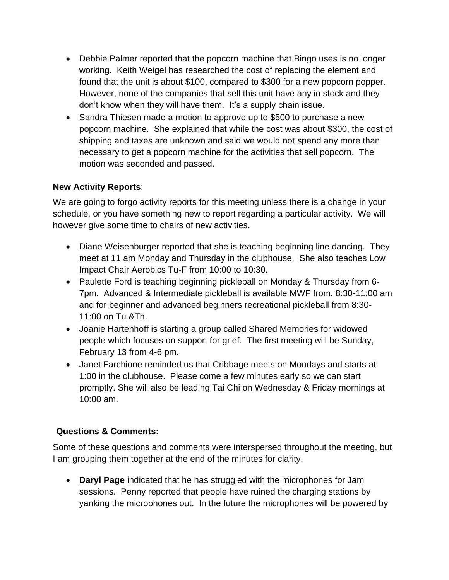- Debbie Palmer reported that the popcorn machine that Bingo uses is no longer working. Keith Weigel has researched the cost of replacing the element and found that the unit is about \$100, compared to \$300 for a new popcorn popper. However, none of the companies that sell this unit have any in stock and they don't know when they will have them. It's a supply chain issue.
- Sandra Thiesen made a motion to approve up to \$500 to purchase a new popcorn machine. She explained that while the cost was about \$300, the cost of shipping and taxes are unknown and said we would not spend any more than necessary to get a popcorn machine for the activities that sell popcorn. The motion was seconded and passed.

# **New Activity Reports**:

We are going to forgo activity reports for this meeting unless there is a change in your schedule, or you have something new to report regarding a particular activity. We will however give some time to chairs of new activities.

- Diane Weisenburger reported that she is teaching beginning line dancing. They meet at 11 am Monday and Thursday in the clubhouse. She also teaches Low Impact Chair Aerobics Tu-F from 10:00 to 10:30.
- Paulette Ford is teaching beginning pickleball on Monday & Thursday from 6- 7pm. Advanced & Intermediate pickleball is available MWF from. 8:30-11:00 am and for beginner and advanced beginners recreational pickleball from 8:30- 11:00 on Tu &Th.
- Joanie Hartenhoff is starting a group called Shared Memories for widowed people which focuses on support for grief. The first meeting will be Sunday, February 13 from 4-6 pm.
- Janet Farchione reminded us that Cribbage meets on Mondays and starts at 1:00 in the clubhouse. Please come a few minutes early so we can start promptly. She will also be leading Tai Chi on Wednesday & Friday mornings at 10:00 am.

# **Questions & Comments:**

Some of these questions and comments were interspersed throughout the meeting, but I am grouping them together at the end of the minutes for clarity.

• **Daryl Page** indicated that he has struggled with the microphones for Jam sessions. Penny reported that people have ruined the charging stations by yanking the microphones out. In the future the microphones will be powered by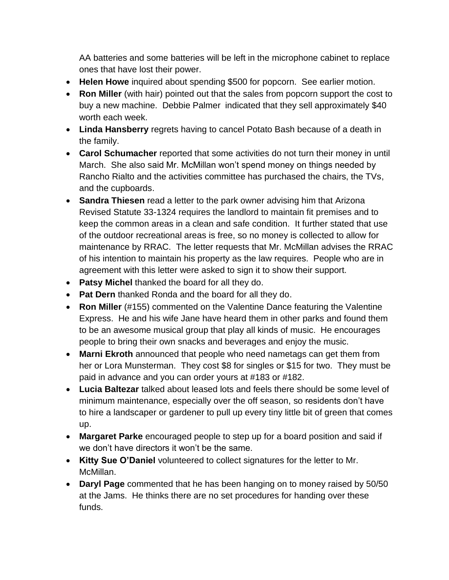AA batteries and some batteries will be left in the microphone cabinet to replace ones that have lost their power.

- **Helen Howe** inquired about spending \$500 for popcorn. See earlier motion.
- **Ron Miller** (with hair) pointed out that the sales from popcorn support the cost to buy a new machine. Debbie Palmer indicated that they sell approximately \$40 worth each week.
- **Linda Hansberry** regrets having to cancel Potato Bash because of a death in the family.
- **Carol Schumacher** reported that some activities do not turn their money in until March. She also said Mr. McMillan won't spend money on things needed by Rancho Rialto and the activities committee has purchased the chairs, the TVs, and the cupboards.
- **Sandra Thiesen** read a letter to the park owner advising him that Arizona Revised Statute 33-1324 requires the landlord to maintain fit premises and to keep the common areas in a clean and safe condition. It further stated that use of the outdoor recreational areas is free, so no money is collected to allow for maintenance by RRAC. The letter requests that Mr. McMillan advises the RRAC of his intention to maintain his property as the law requires. People who are in agreement with this letter were asked to sign it to show their support.
- **Patsy Michel** thanked the board for all they do.
- **Pat Dern** thanked Ronda and the board for all they do.
- **Ron Miller** (#155) commented on the Valentine Dance featuring the Valentine Express. He and his wife Jane have heard them in other parks and found them to be an awesome musical group that play all kinds of music. He encourages people to bring their own snacks and beverages and enjoy the music.
- **Marni Ekroth** announced that people who need nametags can get them from her or Lora Munsterman. They cost \$8 for singles or \$15 for two. They must be paid in advance and you can order yours at #183 or #182.
- **Lucia Baltezar** talked about leased lots and feels there should be some level of minimum maintenance, especially over the off season, so residents don't have to hire a landscaper or gardener to pull up every tiny little bit of green that comes up.
- **Margaret Parke** encouraged people to step up for a board position and said if we don't have directors it won't be the same.
- **Kitty Sue O'Daniel** volunteered to collect signatures for the letter to Mr. McMillan.
- **Daryl Page** commented that he has been hanging on to money raised by 50/50 at the Jams. He thinks there are no set procedures for handing over these funds.